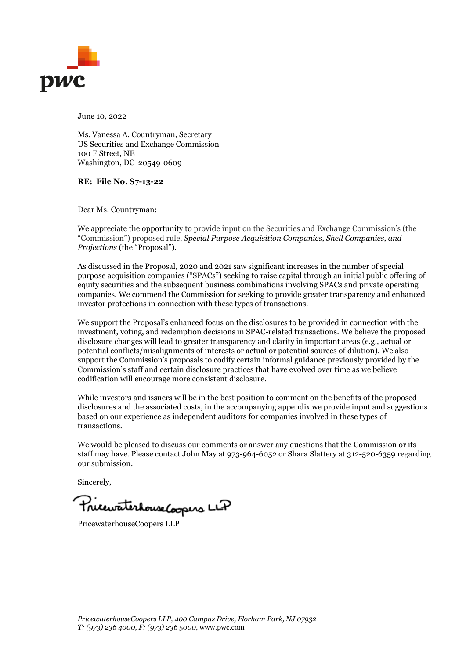

June 10, 2022

Ms. Vanessa A. Countryman, Secretary US Securities and Exchange Commission 100 F Street, NE Washington, DC 20549-0609

**RE: File No. S7-13-22**

Dear Ms. Countryman:

We appreciate the opportunity to provide input on the Securities and Exchange Commission's (the "Commission") proposed rule, *Special Purpose Acquisition Companies, Shell Companies, and Projections* (the "Proposal").

As discussed in the Proposal, 2020 and 2021 saw significant increases in the number of special purpose acquisition companies ("SPACs") seeking to raise capital through an initial public offering of equity securities and the subsequent business combinations involving SPACs and private operating companies. We commend the Commission for seeking to provide greater transparency and enhanced investor protections in connection with these types of transactions.

We support the Proposal's enhanced focus on the disclosures to be provided in connection with the investment, voting, and redemption decisions in SPAC-related transactions. We believe the proposed disclosure changes will lead to greater transparency and clarity in important areas (e.g., actual or potential conflicts/misalignments of interests or actual or potential sources of dilution). We also support the Commission's proposals to codify certain informal guidance previously provided by the Commission's staff and certain disclosure practices that have evolved over time as we believe codification will encourage more consistent disclosure.

While investors and issuers will be in the best position to comment on the benefits of the proposed disclosures and the associated costs, in the accompanying appendix we provide input and suggestions based on our experience as independent auditors for companies involved in these types of transactions.

We would be pleased to discuss our comments or answer any questions that the Commission or its staff may have. Please contact John May at 973-964-6052 or Shara Slattery at 312-520-6359 regarding our submission.

Sincerely,

PricewaterhouseCoopers LLP

PricewaterhouseCoopers LLP

*PricewaterhouseCoopers LLP, 400 Campus Drive, Florham Park, NJ 07932 T: (973) 236 4000, F: (973) 236 5000,* www.pwc.com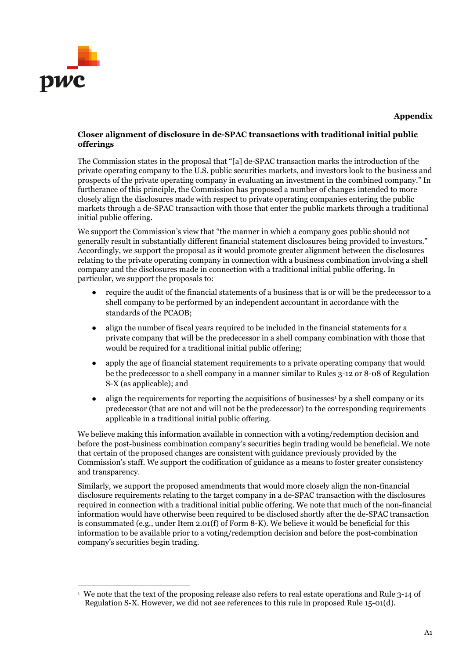

# **Closer alignment of disclosure in de-SPAC transactions with traditional initial public offerings**

The Commission states in the proposal that "[a] de-SPAC transaction marks the introduction of the private operating company to the U.S. public securities markets, and investors look to the business and prospects of the private operating company in evaluating an investment in the combined company." In furtherance of this principle, the Commission has proposed a number of changes intended to more closely align the disclosures made with respect to private operating companies entering the public markets through a de-SPAC transaction with those that enter the public markets through a traditional initial public offering.

We support the Commission's view that "the manner in which a company goes public should not generally result in substantially different financial statement disclosures being provided to investors." Accordingly, we support the proposal as it would promote greater alignment between the disclosures relating to the private operating company in connection with a business combination involving a shell company and the disclosures made in connection with a traditional initial public offering. In particular, we support the proposals to:

- require the audit of the financial statements of a business that is or will be the predecessor to a shell company to be performed by an independent accountant in accordance with the standards of the PCAOB;
- align the number of fiscal years required to be included in the financial statements for a private company that will be the predecessor in a shell company combination with those that would be required for a traditional initial public offering;
- apply the age of financial statement requirements to a private operating company that would be the predecessor to a shell company in a manner similar to Rules 3-12 or 8-08 of Regulation S-X (as applicable); and
- align the requirements for reporting the acquisitions of businesses<sup>[1](#page-1-0)</sup> by a shell company or its predecessor (that are not and will not be the predecessor) to the corresponding requirements applicable in a traditional initial public offering.

We believe making this information available in connection with a voting/redemption decision and before the post-business combination company's securities begin trading would be beneficial. We note that certain of the proposed changes are consistent with guidance previously provided by the Commission's staff. We support the codification of guidance as a means to foster greater consistency and transparency.

Similarly, we support the proposed amendments that would more closely align the non-financial disclosure requirements relating to the target company in a de-SPAC transaction with the disclosures required in connection with a traditional initial public offering. We note that much of the non-financial information would have otherwise been required to be disclosed shortly after the de-SPAC transaction is consummated (e.g., under Item 2.01(f) of Form 8-K). We believe it would be beneficial for this information to be available prior to a voting/redemption decision and before the post-combination company's securities begin trading.

<span id="page-1-0"></span><sup>1</sup> We note that the text of the proposing release also refers to real estate operations and Rule 3-14 of Regulation S-X. However, we did not see references to this rule in proposed Rule 15-01(d).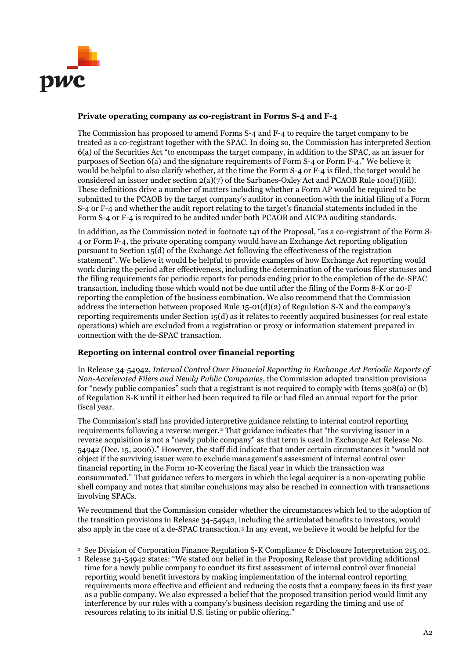

## **Private operating company as co-registrant in Forms S-4 and F-4**

The Commission has proposed to amend Forms S-4 and F-4 to require the target company to be treated as a co-registrant together with the SPAC. In doing so, the Commission has interpreted Section 6(a) of the Securities Act "to encompass the target company, in addition to the SPAC, as an issuer for purposes of Section 6(a) and the signature requirements of Form S-4 or Form F-4." We believe it would be helpful to also clarify whether, at the time the Form S-4 or F-4 is filed, the target would be considered an issuer under section  $2(a)(7)$  of the Sarbanes-Oxley Act and PCAOB Rule 1001(i)(iii). These definitions drive a number of matters including whether a Form AP would be required to be submitted to the PCAOB by the target company's auditor in connection with the initial filing of a Form S-4 or F-4 and whether the audit report relating to the target's financial statements included in the Form S-4 or F-4 is required to be audited under both PCAOB and AICPA auditing standards.

In addition, as the Commission noted in footnote 141 of the Proposal, "as a co-registrant of the Form S-4 or Form F-4, the private operating company would have an Exchange Act reporting obligation pursuant to Section 15(d) of the Exchange Act following the effectiveness of the registration statement". We believe it would be helpful to provide examples of how Exchange Act reporting would work during the period after effectiveness, including the determination of the various filer statuses and the filing requirements for periodic reports for periods ending prior to the completion of the de-SPAC transaction, including those which would not be due until after the filing of the Form 8-K or 20-F reporting the completion of the business combination. We also recommend that the Commission address the interaction between proposed Rule  $15-01(d)(2)$  of Regulation S-X and the company's reporting requirements under Section 15(d) as it relates to recently acquired businesses (or real estate operations) which are excluded from a registration or proxy or information statement prepared in connection with the de-SPAC transaction.

# **Reporting on internal control over financial reporting**

In Release 34-54942, *Internal Control Over Financial Reporting in Exchange Act Periodic Reports of Non-Accelerated Filers and Newly Public Companies,* the Commission adopted transition provisions for "newly public companies" such that a registrant is not required to comply with Items 308(a) or (b) of Regulation S-K until it either had been required to file or had filed an annual report for the prior fiscal year.

The Commission's staff has provided interpretive guidance relating to internal control reporting requirements following a reverse merger.<sup>[2](#page-2-0)</sup> That guidance indicates that "the surviving issuer in a reverse acquisition is not a "newly public company" as that term is used in Exchange Act Release No. 54942 (Dec. 15, 2006)." However, the staff did indicate that under certain circumstances it "would not object if the surviving issuer were to exclude management's assessment of internal control over financial reporting in the Form 10-K covering the fiscal year in which the transaction was consummated." That guidance refers to mergers in which the legal acquirer is a non-operating public shell company and notes that similar conclusions may also be reached in connection with transactions involving SPACs.

We recommend that the Commission consider whether the circumstances which led to the adoption of the transition provisions in Release 34-54942, including the articulated benefits to investors, would also apply in the case of a de-SPAC transaction.[3](#page-2-1) In any event, we believe it would be helpful for the

<span id="page-2-0"></span><sup>2</sup> See Division of Corporation Finance Regulation S-K Compliance & Disclosure Interpretation 215.02.

<span id="page-2-1"></span><sup>3</sup> Release 34-54942 states: "We stated our belief in the Proposing Release that providing additional time for a newly public company to conduct its first assessment of internal control over financial reporting would benefit investors by making implementation of the internal control reporting requirements more effective and efficient and reducing the costs that a company faces in its first year as a public company. We also expressed a belief that the proposed transition period would limit any interference by our rules with a company's business decision regarding the timing and use of resources relating to its initial U.S. listing or public offering."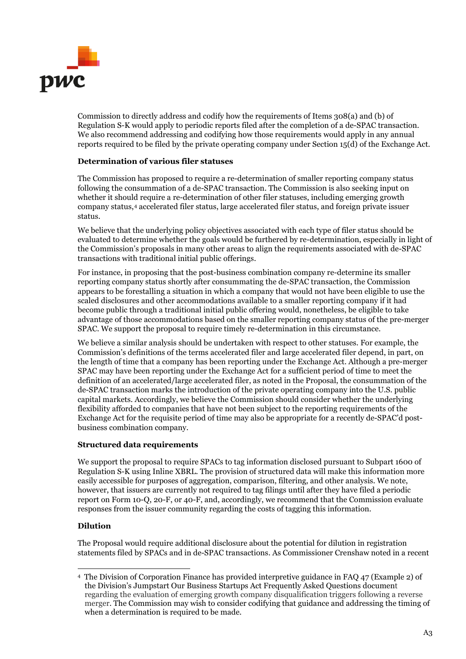

Commission to directly address and codify how the requirements of Items 308(a) and (b) of Regulation S-K would apply to periodic reports filed after the completion of a de-SPAC transaction. We also recommend addressing and codifying how those requirements would apply in any annual reports required to be filed by the private operating company under Section 15(d) of the Exchange Act.

## **Determination of various filer statuses**

The Commission has proposed to require a re-determination of smaller reporting company status following the consummation of a de-SPAC transaction. The Commission is also seeking input on whether it should require a re-determination of other filer statuses, including emerging growth company status,[4](#page-3-0) accelerated filer status, large accelerated filer status, and foreign private issuer status.

We believe that the underlying policy objectives associated with each type of filer status should be evaluated to determine whether the goals would be furthered by re-determination, especially in light of the Commission's proposals in many other areas to align the requirements associated with de-SPAC transactions with traditional initial public offerings.

For instance, in proposing that the post-business combination company re-determine its smaller reporting company status shortly after consummating the de-SPAC transaction, the Commission appears to be forestalling a situation in which a company that would not have been eligible to use the scaled disclosures and other accommodations available to a smaller reporting company if it had become public through a traditional initial public offering would, nonetheless, be eligible to take advantage of those accommodations based on the smaller reporting company status of the pre-merger SPAC. We support the proposal to require timely re-determination in this circumstance.

We believe a similar analysis should be undertaken with respect to other statuses. For example, the Commission's definitions of the terms accelerated filer and large accelerated filer depend, in part, on the length of time that a company has been reporting under the Exchange Act. Although a pre-merger SPAC may have been reporting under the Exchange Act for a sufficient period of time to meet the definition of an accelerated/large accelerated filer, as noted in the Proposal, the consummation of the de-SPAC transaction marks the introduction of the private operating company into the U.S. public capital markets. Accordingly, we believe the Commission should consider whether the underlying flexibility afforded to companies that have not been subject to the reporting requirements of the Exchange Act for the requisite period of time may also be appropriate for a recently de-SPAC'd postbusiness combination company.

#### **Structured data requirements**

We support the proposal to require SPACs to tag information disclosed pursuant to Subpart 1600 of Regulation S-K using Inline XBRL. The provision of structured data will make this information more easily accessible for purposes of aggregation, comparison, filtering, and other analysis. We note, however, that issuers are currently not required to tag filings until after they have filed a periodic report on Form 10-Q, 20-F, or 40-F, and, accordingly, we recommend that the Commission evaluate responses from the issuer community regarding the costs of tagging this information.

#### **Dilution**

The Proposal would require additional disclosure about the potential for dilution in registration statements filed by SPACs and in de-SPAC transactions. As Commissioner Crenshaw noted in a recent

<span id="page-3-0"></span><sup>4</sup> The Division of Corporation Finance has provided interpretive guidance in FAQ 47 (Example 2) of the Division's Jumpstart Our Business Startups Act Frequently Asked Questions document regarding the evaluation of emerging growth company disqualification triggers following a reverse merger. The Commission may wish to consider codifying that guidance and addressing the timing of when a determination is required to be made.